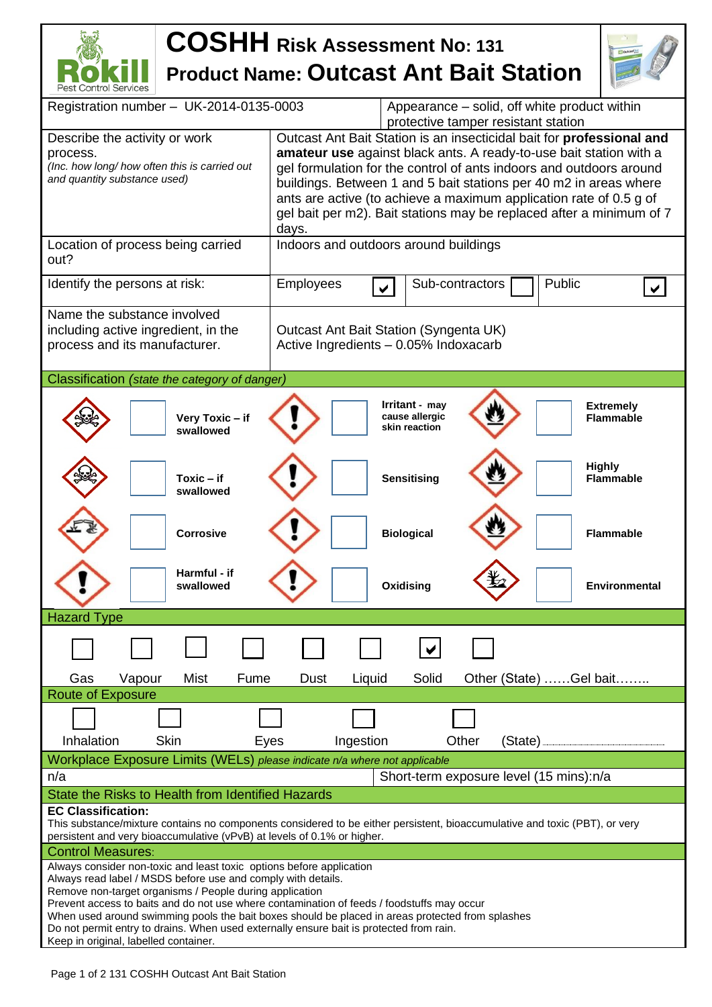## **COSHH Risk Assessment No: <sup>131</sup> Product Name: Outcast Ant Bait Station**



| Registration number - UK-2014-0135-0003                                                                                    | Appearance – solid, off white product within<br>protective tamper resistant station              |  |  |  |  |  |
|----------------------------------------------------------------------------------------------------------------------------|--------------------------------------------------------------------------------------------------|--|--|--|--|--|
| Describe the activity or work                                                                                              | Outcast Ant Bait Station is an insecticidal bait for professional and                            |  |  |  |  |  |
|                                                                                                                            |                                                                                                  |  |  |  |  |  |
| <b>amateur use</b> against black ants. A ready-to-use bait station with a<br>process.                                      |                                                                                                  |  |  |  |  |  |
| (Inc. how long/ how often this is carried out<br>gel formulation for the control of ants indoors and outdoors around       |                                                                                                  |  |  |  |  |  |
| and quantity substance used)                                                                                               | buildings. Between 1 and 5 bait stations per 40 m2 in areas where                                |  |  |  |  |  |
|                                                                                                                            | ants are active (to achieve a maximum application rate of 0.5 g of                               |  |  |  |  |  |
|                                                                                                                            | gel bait per m2). Bait stations may be replaced after a minimum of 7                             |  |  |  |  |  |
|                                                                                                                            | days.                                                                                            |  |  |  |  |  |
| Location of process being carried                                                                                          |                                                                                                  |  |  |  |  |  |
|                                                                                                                            | Indoors and outdoors around buildings                                                            |  |  |  |  |  |
| out?                                                                                                                       |                                                                                                  |  |  |  |  |  |
| Identify the persons at risk:                                                                                              | Public<br>Employees<br>Sub-contractors                                                           |  |  |  |  |  |
|                                                                                                                            |                                                                                                  |  |  |  |  |  |
|                                                                                                                            |                                                                                                  |  |  |  |  |  |
| Name the substance involved                                                                                                |                                                                                                  |  |  |  |  |  |
| including active ingredient, in the                                                                                        | Outcast Ant Bait Station (Syngenta UK)                                                           |  |  |  |  |  |
| process and its manufacturer.                                                                                              | Active Ingredients - 0.05% Indoxacarb                                                            |  |  |  |  |  |
|                                                                                                                            |                                                                                                  |  |  |  |  |  |
|                                                                                                                            |                                                                                                  |  |  |  |  |  |
| Classification (state the category of danger)                                                                              |                                                                                                  |  |  |  |  |  |
|                                                                                                                            |                                                                                                  |  |  |  |  |  |
|                                                                                                                            | Irritant - may<br><b>Extremely</b>                                                               |  |  |  |  |  |
| Very Toxic - if                                                                                                            | cause allergic<br><b>Flammable</b><br>skin reaction                                              |  |  |  |  |  |
| swallowed                                                                                                                  |                                                                                                  |  |  |  |  |  |
|                                                                                                                            |                                                                                                  |  |  |  |  |  |
|                                                                                                                            |                                                                                                  |  |  |  |  |  |
| $Toxic - if$                                                                                                               | <b>Highly</b><br><b>Sensitising</b><br><b>Flammable</b>                                          |  |  |  |  |  |
| swallowed                                                                                                                  |                                                                                                  |  |  |  |  |  |
|                                                                                                                            |                                                                                                  |  |  |  |  |  |
|                                                                                                                            |                                                                                                  |  |  |  |  |  |
|                                                                                                                            |                                                                                                  |  |  |  |  |  |
| <b>Corrosive</b>                                                                                                           | <b>Biological</b><br><b>Flammable</b>                                                            |  |  |  |  |  |
|                                                                                                                            |                                                                                                  |  |  |  |  |  |
|                                                                                                                            |                                                                                                  |  |  |  |  |  |
| Harmful - if                                                                                                               |                                                                                                  |  |  |  |  |  |
| swallowed                                                                                                                  | Oxidising<br><b>Environmental</b>                                                                |  |  |  |  |  |
|                                                                                                                            |                                                                                                  |  |  |  |  |  |
| <b>Hazard Type</b>                                                                                                         |                                                                                                  |  |  |  |  |  |
|                                                                                                                            |                                                                                                  |  |  |  |  |  |
|                                                                                                                            |                                                                                                  |  |  |  |  |  |
|                                                                                                                            |                                                                                                  |  |  |  |  |  |
|                                                                                                                            |                                                                                                  |  |  |  |  |  |
| Vapour<br>Mist<br>Gas<br>Fume                                                                                              | Solid<br>Other (State) Gel bait<br>Dust<br>Liquid                                                |  |  |  |  |  |
| <b>Route of Exposure</b>                                                                                                   |                                                                                                  |  |  |  |  |  |
|                                                                                                                            |                                                                                                  |  |  |  |  |  |
|                                                                                                                            |                                                                                                  |  |  |  |  |  |
|                                                                                                                            |                                                                                                  |  |  |  |  |  |
| Inhalation<br>Skin<br>Ingestion<br>Other<br>(State)<br>Eyes                                                                |                                                                                                  |  |  |  |  |  |
| Workplace Exposure Limits (WELs) please indicate n/a where not applicable                                                  |                                                                                                  |  |  |  |  |  |
| n/a                                                                                                                        | Short-term exposure level (15 mins):n/a                                                          |  |  |  |  |  |
|                                                                                                                            |                                                                                                  |  |  |  |  |  |
| State the Risks to Health from Identified Hazards                                                                          |                                                                                                  |  |  |  |  |  |
| <b>EC Classification:</b>                                                                                                  |                                                                                                  |  |  |  |  |  |
| This substance/mixture contains no components considered to be either persistent, bioaccumulative and toxic (PBT), or very |                                                                                                  |  |  |  |  |  |
| persistent and very bioaccumulative (vPvB) at levels of 0.1% or higher.                                                    |                                                                                                  |  |  |  |  |  |
| <b>Control Measures:</b>                                                                                                   |                                                                                                  |  |  |  |  |  |
| Always consider non-toxic and least toxic options before application                                                       |                                                                                                  |  |  |  |  |  |
| Always read label / MSDS before use and comply with details.                                                               |                                                                                                  |  |  |  |  |  |
| Remove non-target organisms / People during application                                                                    |                                                                                                  |  |  |  |  |  |
| Prevent access to baits and do not use where contamination of feeds / foodstuffs may occur                                 |                                                                                                  |  |  |  |  |  |
|                                                                                                                            | When used around swimming pools the bait boxes should be placed in areas protected from splashes |  |  |  |  |  |
| Do not permit entry to drains. When used externally ensure bait is protected from rain.                                    |                                                                                                  |  |  |  |  |  |
| Keep in original, labelled container.                                                                                      |                                                                                                  |  |  |  |  |  |